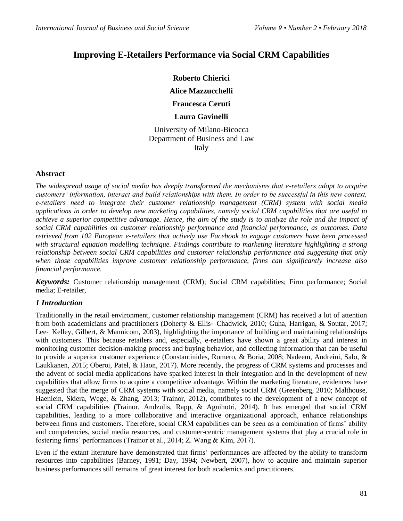# **Improving E-Retailers Performance via Social CRM Capabilities**

**Roberto Chierici** 

**Alice Mazzucchelli**

**Francesca Ceruti**

# **Laura Gavinelli**

University of Milano-Bicocca Department of [Business and Law](http://www.unimib.it/go/46529) Italy

### **Abstract**

*The widespread usage of social media has deeply transformed the mechanisms that e-retailers adopt to acquire customers' information, interact and build relationships with them. In order to be successful in this new context, e-retailers need to integrate their customer relationship management (CRM) system with social media applications in order to develop new marketing capabilities, namely social CRM capabilities that are useful to achieve a superior competitive advantage. Hence, the aim of the study is to analyze the role and the impact of social CRM capabilities on customer relationship performance and financial performance, as outcomes. Data retrieved from 102 European e-retailers that actively use Facebook to engage customers have been processed with structural equation modelling technique. Findings contribute to marketing literature highlighting a strong relationship between social CRM capabilities and customer relationship performance and suggesting that only when those capabilities improve customer relationship performance, firms can significantly increase also financial performance.* 

*Keywords:* Customer relationship management (CRM); Social CRM capabilities; Firm performance; Social media; E-retailer,

### *1 Introduction*

Traditionally in the retail environment, customer relationship management (CRM) has received a lot of attention from both academicians and practitioners (Doherty & Ellis- Chadwick, 2010; Guha, Harrigan, & Soutar, 2017; Lee‐ Kelley, Gilbert, & Mannicom, 2003), highlighting the importance of building and maintaining relationships with customers. This because retailers and, especially, e-retailers have shown a great ability and interest in monitoring customer decision-making process and buying behavior, and collecting information that can be useful to provide a superior customer experience (Constantinides, Romero, & Boria, 2008; Nadeem, Andreini, Salo, & Laukkanen, 2015; Oberoi, Patel, & Haon, 2017). More recently, the progress of CRM systems and processes and the advent of social media applications have sparked interest in their integration and in the development of new capabilities that allow firms to acquire a competitive advantage. Within the marketing literature, evidences have suggested that the merge of CRM systems with social media, namely social CRM (Greenberg, 2010; Malthouse, Haenlein, Skiera, Wege, & Zhang, 2013; Trainor, 2012), contributes to the development of a new concept of social CRM capabilities (Trainor, Andzulis, Rapp, & Agnihotri, 2014). It has emerged that social CRM capabilities, leading to a more collaborative and interactive organizational approach, enhance relationships between firms and customers. Therefore, social CRM capabilities can be seen as a combination of firms' ability and competencies, social media resources, and customer-centric management systems that play a crucial role in fostering firms' performances (Trainor et al., 2014; Z. Wang & Kim, 2017).

Even if the extant literature have demonstrated that firms' performances are affected by the ability to transform resources into capabilities (Barney, 1991; Day, 1994; Newbert, 2007), how to acquire and maintain superior business performances still remains of great interest for both academics and practitioners.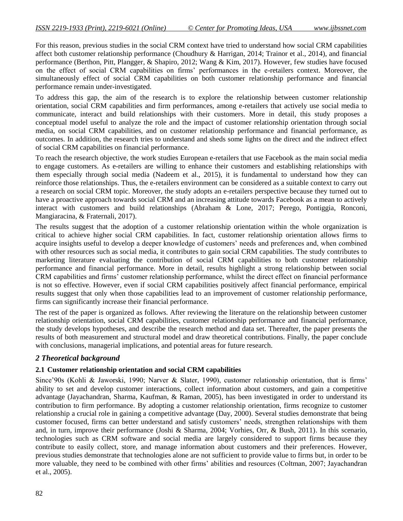For this reason, previous studies in the social CRM context have tried to understand how social CRM capabilities affect both customer relationship performance (Choudhury & Harrigan, 2014; Trainor et al., 2014), and financial performance (Berthon, Pitt, Plangger, & Shapiro, 2012; Wang & Kim, 2017). However, few studies have focused on the effect of social CRM capabilities on firms' performances in the e-retailers context. Moreover, the simultaneously effect of social CRM capabilities on both customer relationship performance and financial performance remain under-investigated.

To address this gap, the aim of the research is to explore the relationship between customer relationship orientation, social CRM capabilities and firm performances, among e-retailers that actively use social media to communicate, interact and build relationships with their customers. More in detail, this study proposes a conceptual model useful to analyze the role and the impact of customer relationship orientation through social media, on social CRM capabilities, and on customer relationship performance and financial performance, as outcomes. In addition, the research tries to understand and sheds some lights on the direct and the indirect effect of social CRM capabilities on financial performance.

To reach the research objective, the work studies European e-retailers that use Facebook as the main social media to engage customers. As e-retailers are willing to enhance their customers and establishing relationships with them especially through social media (Nadeem et al., 2015), it is fundamental to understand how they can reinforce those relationships. Thus, the e-retailers environment can be considered as a suitable context to carry out a research on social CRM topic. Moreover, the study adopts an e-retailers perspective because they turned out to have a proactive approach towards social CRM and an increasing attitude towards Facebook as a mean to actively interact with customers and build relationships (Abraham & Lone, 2017; Perego, Pontiggia, Ronconi, Mangiaracina, & Fraternali, 2017).

The results suggest that the adoption of a customer relationship orientation within the whole organization is critical to achieve higher social CRM capabilities. In fact, customer relationship orientation allows firms to acquire insights useful to develop a deeper knowledge of customers' needs and preferences and, when combined with other resources such as social media, it contributes to gain social CRM capabilities. The study contributes to marketing literature evaluating the contribution of social CRM capabilities to both customer relationship performance and financial performance. More in detail, results highlight a strong relationship between social CRM capabilities and firms' customer relationship performance, whilst the direct effect on financial performance is not so effective. However, even if social CRM capabilities positively affect financial performance, empirical results suggest that only when those capabilities lead to an improvement of customer relationship performance, firms can significantly increase their financial performance.

The rest of the paper is organized as follows. After reviewing the literature on the relationship between customer relationship orientation, social CRM capabilities, customer relationship performance and financial performance, the study develops hypotheses, and describe the research method and data set. Thereafter, the paper presents the results of both measurement and structural model and draw theoretical contributions. Finally, the paper conclude with conclusions, managerial implications, and potential areas for future research.

### *2 Theoretical background*

#### **2.1 Customer relationship orientation and social CRM capabilities**

Since'90s (Kohli & Jaworski, 1990; Narver & Slater, 1990), customer relationship orientation, that is firms' ability to set and develop customer interactions, collect information about customers, and gain a competitive advantage (Jayachandran, Sharma, Kaufman, & Raman, 2005), has been investigated in order to understand its contribution to firm performance. By adopting a customer relationship orientation, firms recognize to customer relationship a crucial role in gaining a competitive advantage (Day, 2000). Several studies demonstrate that being customer focused, firms can better understand and satisfy customers' needs, strengthen relationships with them and, in turn, improve their performance (Joshi & Sharma, 2004; Vorhies, Orr, & Bush, 2011). In this scenario, technologies such as CRM software and social media are largely considered to support firms because they contribute to easily collect, store, and manage information about customers and their preferences. However, previous studies demonstrate that technologies alone are not sufficient to provide value to firms but, in order to be more valuable, they need to be combined with other firms' abilities and resources (Coltman, 2007; Jayachandran et al., 2005).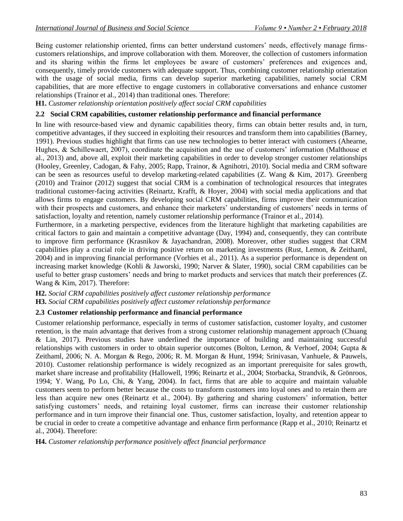Being customer relationship oriented, firms can better understand customers' needs, effectively manage firmscustomers relationships, and improve collaboration with them. Moreover, the collection of customers information and its sharing within the firms let employees be aware of customers' preferences and exigences and, consequently, timely provide customers with adequate support. Thus, combining customer relationship orientation with the usage of social media, firms can develop superior marketing capabilities, namely social CRM capabilities, that are more effective to engage customers in collaborative conversations and enhance customer relationships (Trainor et al., 2014) than traditional ones. Therefore:

**H1.** *Customer relationship orientation positively affect social CRM capabilities*

#### **2.2 Social CRM capabilities, customer relationship performance and financial performance**

In line with resource-based view and dynamic capabilities theory, firms can obtain better results and, in turn, competitive advantages, if they succeed in exploiting their resources and transform them into capabilities (Barney, 1991). Previous studies highlight that firms can use new technologies to better interact with customers (Ahearne, Hughes, & Schillewaert, 2007), coordinate the acquisition and the use of customers' information (Malthouse et al., 2013) and, above all, exploit their marketing capabilities in order to develop stronger customer relationships (Hooley, Greenley, Cadogan, & Fahy, 2005; Rapp, Trainor, & Agnihotri, 2010). Social media and CRM software can be seen as resources useful to develop marketing-related capabilities (Z. Wang & Kim, 2017). Greenberg (2010) and Trainor (2012) suggest that social CRM is a combination of technological resources that integrates traditional customer-facing activities (Reinartz, Krafft, & Hoyer, 2004) with social media applications and that allows firms to engage customers. By developing social CRM capabilities, firms improve their communication with their prospects and customers, and enhance their marketers' understanding of customers' needs in terms of satisfaction, loyalty and retention, namely customer relationship performance (Trainor et al., 2014).

Furthermore, in a marketing perspective, evidences from the literature highlight that marketing capabilities are critical factors to gain and maintain a competitive advantage (Day, 1994) and, consequently, they can contribute to improve firm performance (Krasnikov & Jayachandran, 2008). Moreover, other studies suggest that CRM capabilities play a crucial role in driving positive return on marketing investments (Rust, Lemon, & Zeithaml, 2004) and in improving financial performance (Vorhies et al., 2011). As a superior performance is dependent on increasing market knowledge (Kohli & Jaworski, 1990; Narver & Slater, 1990), social CRM capabilities can be useful to better grasp customers' needs and bring to market products and services that match their preferences (Z. Wang & Kim, 2017). Therefore:

#### **H2.** *Social CRM capabilities positively affect customer relationship performance*

**H3.** *Social CRM capabilities positively affect customer relationship performance*

#### **2.3 Customer relationship performance and financial performance**

Customer relationship performance, especially in terms of customer satisfaction, customer loyalty, and customer retention, is the main advantage that derives from a strong customer relationship management approach (Chuang & Lin, 2017). Previous studies have underlined the importance of building and maintaining successful relationships with customers in order to obtain superior outcomes (Bolton, Lemon, & Verhoef, 2004; Gupta & Zeithaml, 2006; N. A. Morgan & Rego, 2006; R. M. Morgan & Hunt, 1994; Srinivasan, Vanhuele, & Pauwels, 2010). Customer relationship performance is widely recognized as an important prerequisite for sales growth, market share increase and profitability (Hallowell, 1996; Reinartz et al., 2004; Storbacka, Strandvik, & Grönroos, 1994; Y. Wang, Po Lo, Chi, & Yang, 2004). In fact, firms that are able to acquire and maintain valuable customers seem to perform better because the costs to transform customers into loyal ones and to retain them are less than acquire new ones (Reinartz et al., 2004). By gathering and sharing customers' information, better satisfying customers' needs, and retaining loyal customer, firms can increase their customer relationship performance and in turn improve their financial one. Thus, customer satisfaction, loyalty, and retention appear to be crucial in order to create a competitive advantage and enhance firm performance (Rapp et al., 2010; Reinartz et al., 2004). Therefore:

#### **H4.** *Customer relationship performance positively affect financial performance*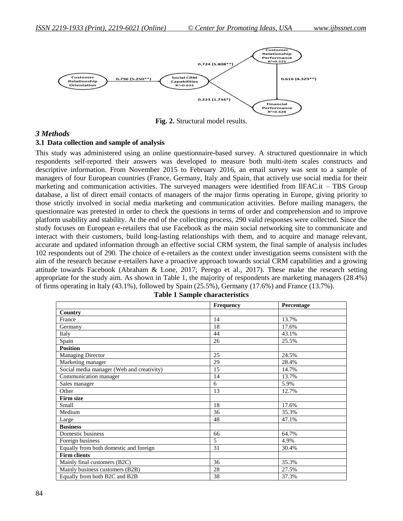

**Fig. 2.** Structural model results.

#### *3 Methods*

#### **3.1 Data collection and sample of analysis**

This study was administered using an online questionnaire-based survey. A structured questionnaire in which respondents self-reported their answers was developed to measure both multi-item scales constructs and descriptive information. From November 2015 to February 2016, an email survey was sent to a sample of managers of four European countries (France, Germany, Italy and Spain, that actively use social media for their marketing and communication activities. The surveyed managers were identified from IlFAC.it – TBS Group database, a list of direct email contacts of managers of the major firms operating in Europe, giving priority to those strictly involved in social media marketing and communication activities. Before mailing managers, the questionnaire was pretested in order to check the questions in terms of order and comprehension and to improve platform usability and stability. At the end of the collecting process, 290 valid responses were collected. Since the study focuses on European e-retailers that use Facebook as the main social networking site to communicate and interact with their customers, build long-lasting relationships with them, and to acquire and manage relevant, accurate and updated information through an effective social CRM system, the final sample of analysis includes 102 respondents out of 290. The choice of e-retailers as the context under investigation seems consistent with the aim of the research because e-retailers have a proactive approach towards social CRM capabilities and a growing attitude towards Facebook (Abraham & Lone, 2017; Perego et al., 2017). These make the research setting appropriate for the study aim. As shown in Table 1, the majority of respondents are marketing managers (28.4%) of firms operating in Italy (43.1%), followed by Spain (25.5%), Germany (17.6%) and France (13.7%).

|                                           | Frequency | Percentage |
|-------------------------------------------|-----------|------------|
| Country                                   |           |            |
| France                                    | 14        | 13.7%      |
| Germany                                   | 18        | 17.6%      |
| Italy                                     | 44        | 43.1%      |
| Spain                                     | 26        | 25.5%      |
| <b>Position</b>                           |           |            |
| Managing Director                         | 25        | 24.5%      |
| Marketing manager                         | 29        | 28.4%      |
| Social media manager (Web and creativity) | 15        | 14.7%      |
| Communication manager                     | 14        | 13.7%      |
| Sales manager                             | 6         | 5.9%       |
| Other                                     | 13        | 12.7%      |
| <b>Firm size</b>                          |           |            |
| Small                                     | 18        | 17.6%      |
| Medium                                    | 36        | 35.3%      |
| Large                                     | 48        | 47.1%      |
| <b>Business</b>                           |           |            |
| Domestic business                         | 66        | 64.7%      |
| Foreign business                          | 5         | 4.9%       |
| Equally from both domestic and foreign    | 31        | 30.4%      |
| <b>Firm clients</b>                       |           |            |
| Mainly final customers (B2C)              | 36        | 35.3%      |
| Mainly business customers (B2B)           | 28        | 27.5%      |
| Equally from both B2C and B2B             | 38        | 37.3%      |

| <b>Table 1 Sample characteristics</b> |  |
|---------------------------------------|--|
|---------------------------------------|--|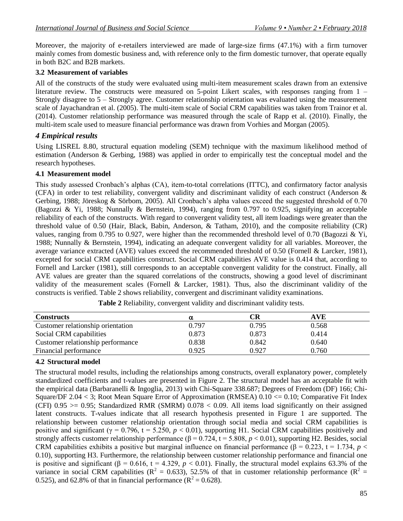Moreover, the majority of e-retailers interviewed are made of large-size firms (47.1%) with a firm turnover mainly comes from domestic business and, with reference only to the firm domestic turnover, that operate equally in both B2C and B2B markets.

## **3.2 Measurement of variables**

All of the constructs of the study were evaluated using multi-item measurement scales drawn from an extensive literature review. The constructs were measured on 5-point Likert scales, with responses ranging from 1 – Strongly disagree to 5 – Strongly agree. Customer relationship orientation was evaluated using the measurement scale of Jayachandran et al. (2005). The multi-item scale of Social CRM capabilities was taken from Trainor et al. (2014). Customer relationship performance was measured through the scale of Rapp et al. (2010). Finally, the multi-item scale used to measure financial performance was drawn from Vorhies and Morgan (2005).

# *4 Empirical results*

Using LISREL 8.80, structural equation modeling (SEM) technique with the maximum likelihood method of estimation (Anderson & Gerbing, 1988) was applied in order to empirically test the conceptual model and the research hypotheses.

## **4.1 Measurement model**

This study assessed Cronbach's alphas (CA), item-to-total correlations (ITTC), and confirmatory factor analysis (CFA) in order to test reliability, convergent validity and discriminant validity of each construct (Anderson & Gerbing, 1988; Jöreskog & Sörbom, 2005). All Cronbach's alpha values exceed the suggested threshold of 0.70 (Bagozzi & Yi, 1988; Nunnally & Bernstein, 1994), ranging from 0.797 to 0.925, signifying an acceptable reliability of each of the constructs. With regard to convergent validity test, all item loadings were greater than the threshold value of 0.50 (Hair, Black, Babin, Anderson, & Tatham, 2010), and the composite reliability (CR) values, ranging from 0.795 to 0.927, were higher than the recommended threshold level of 0.70 (Bagozzi & Yi, 1988; Nunnally & Bernstein, 1994), indicating an adequate convergent validity for all variables. Moreover, the average variance extracted (AVE) values exceed the recommended threshold of 0.50 (Fornell & Larcker, 1981), excepted for social CRM capabilities construct. Social CRM capabilities AVE value is 0.414 that, according to Fornell and Larcker (1981), still corresponds to an acceptable convergent validity for the construct. Finally, all AVE values are greater than the squared correlations of the constructs, showing a good level of discriminant validity of the measurement scales (Fornell & Larcker, 1981). Thus, also the discriminant validity of the constructs is verified. Table 2 shows reliability, convergent and discriminant validity examinations.

| <b>Constructs</b>                 |       | CR    | AVE   |
|-----------------------------------|-------|-------|-------|
| Customer relationship orientation | 0.797 | 0.795 | 0.568 |
| Social CRM capabilities           | 0.873 | 0.873 | 0.414 |
| Customer relationship performance | 0.838 | 0.842 | 0.640 |
| Financial performance             | 0.925 | 0.927 | 0.760 |

**Table 2** Reliability, convergent validity and discriminant validity tests.

# **4.2 Structural model**

The structural model results, including the relationships among constructs, overall explanatory power, completely standardized coefficients and t-values are presented in Figure 2. The structural model has an acceptable fit with the empirical data (Barbaranelli & Ingoglia, 2013) with Chi-Square 338.687; Degrees of Freedom (DF) 166; Chi-Square/DF 2.04  $<$  3; Root Mean Square Error of Approximation (RMSEA) 0.10  $<=$  0.10; Comparative Fit Index (CFI)  $0.95 \ge 0.95$ ; Standardized RMR (SMRM)  $0.078 < 0.09$ . All items load significantly on their assigned latent constructs. T-values indicate that all research hypothesis presented in Figure 1 are supported. The relationship between customer relationship orientation through social media and social CRM capabilities is positive and significant ( $\gamma = 0.796$ ,  $t = 5.250$ ,  $p < 0.01$ ), supporting H1. Social CRM capabilities positively and strongly affects customer relationship performance  $(\beta = 0.724, t = 5.808, p < 0.01)$ , supporting H2. Besides, social CRM capabilities exhibits a positive but marginal influence on financial performance ( $\beta = 0.223$ ,  $t = 1.734$ ,  $p <$ 0.10), supporting H3. Furthermore, the relationship between customer relationship performance and financial one is positive and significant ( $\beta$  = 0.616, t = 4.329,  $p < 0.01$ ). Finally, the structural model explains 63.3% of the variance in social CRM capabilities ( $R^2 = 0.633$ ), 52.5% of that in customer relationship performance ( $R^2 =$ 0.525), and 62.8% of that in financial performance ( $\mathbb{R}^2 = 0.628$ ).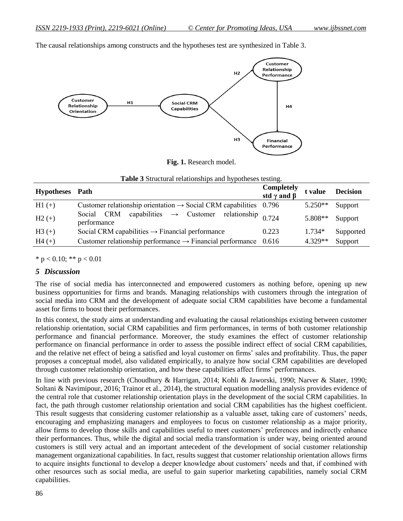The causal relationships among constructs and the hypotheses test are synthesized in Table 3.



**Fig. 1.** Research model.

| Hypotheses Path |                                                                                     | Completely<br>std $\gamma$ and $\beta$ | t value   | <b>Decision</b> |
|-----------------|-------------------------------------------------------------------------------------|----------------------------------------|-----------|-----------------|
| $H1 (+)$        | Customer relationship orientation $\rightarrow$ Social CRM capabilities 0.796       |                                        | $5.250**$ | Support         |
| $H2 (+)$        | capabilities $\rightarrow$ Customer relationship 0.724<br>Social CRM<br>performance |                                        | 5.808**   | Support         |
| $H3 (+)$        | Social CRM capabilities $\rightarrow$ Financial performance                         | 0.223                                  | $1.734*$  | Supported       |
| $H4 (+)$        | Customer relationship performance $\rightarrow$ Financial performance               | 0.616                                  | $4.329**$ | Support         |

| Table 3 Structural relationships and hypotheses testing. |  |
|----------------------------------------------------------|--|
|----------------------------------------------------------|--|

\*  $p < 0.10$ ; \*\*  $p < 0.01$ 

#### *5 Discussion*

The rise of social media has interconnected and empowered customers as nothing before, opening up new business opportunities for firms and brands. Managing relationships with customers through the integration of social media into CRM and the development of adequate social CRM capabilities have become a fundamental asset for firms to boost their performances.

In this context, the study aims at understanding and evaluating the causal relationships existing between customer relationship orientation, social CRM capabilities and firm performances, in terms of both customer relationship performance and financial performance. Moreover, the study examines the effect of customer relationship performance on financial performance in order to assess the possible indirect effect of social CRM capabilities, and the relative net effect of being a satisfied and loyal customer on firms' sales and profitability. Thus, the paper proposes a conceptual model, also validated empirically, to analyze how social CRM capabilities are developed through customer relationship orientation, and how these capabilities affect firms' performances.

In line with previous research (Choudhury & Harrigan, 2014; Kohli & Jaworski, 1990; Narver & Slater, 1990; Soltani & Navimipour, 2016; Trainor et al., 2014), the structural equation modelling analysis provides evidence of the central role that customer relationship orientation plays in the development of the social CRM capabilities. In fact, the path through customer relationship orientation and social CRM capabilities has the highest coefficient. This result suggests that considering customer relationship as a valuable asset, taking care of customers' needs, encouraging and emphasizing managers and employees to focus on customer relationship as a major priority, allow firms to develop those skills and capabilities useful to meet customers' preferences and indirectly enhance their performances. Thus, while the digital and social media transformation is under way, being oriented around customers is still very actual and an important antecedent of the development of social customer relationship management organizational capabilities. In fact, results suggest that customer relationship orientation allows firms to acquire insights functional to develop a deeper knowledge about customers' needs and that, if combined with other resources such as social media, are useful to gain superior marketing capabilities, namely social CRM capabilities.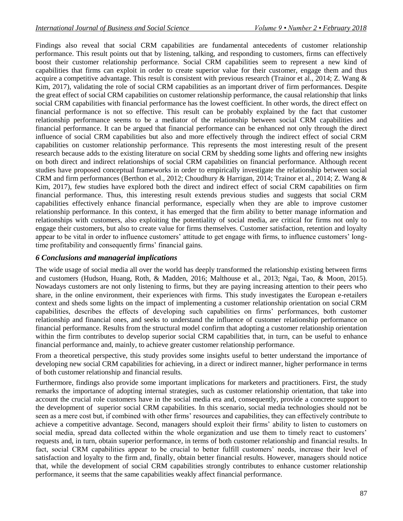Findings also reveal that social CRM capabilities are fundamental antecedents of customer relationship performance. This result points out that by listening, talking, and responding to customers, firms can effectively boost their customer relationship performance. Social CRM capabilities seem to represent a new kind of capabilities that firms can exploit in order to create superior value for their customer, engage them and thus acquire a competitive advantage. This result is consistent with previous research (Trainor et al., 2014; Z. Wang & Kim, 2017), validating the role of social CRM capabilities as an important driver of firm performances. Despite the great effect of social CRM capabilities on customer relationship performance, the causal relationship that links social CRM capabilities with financial performance has the lowest coefficient. In other words, the direct effect on financial performance is not so effective. This result can be probably explained by the fact that customer relationship performance seems to be a mediator of the relationship between social CRM capabilities and financial performance. It can be argued that financial performance can be enhanced not only through the direct influence of social CRM capabilities but also and more effectively through the indirect effect of social CRM capabilities on customer relationship performance. This represents the most interesting result of the present research because adds to the existing literature on social CRM by shedding some lights and offering new insights on both direct and indirect relationships of social CRM capabilities on financial performance. Although recent studies have proposed conceptual frameworks in order to empirically investigate the relationship between social CRM and firm performances (Berthon et al., 2012; Choudhury & Harrigan, 2014; Trainor et al., 2014; Z. Wang & Kim, 2017), few studies have explored both the direct and indirect effect of social CRM capabilities on firm financial performance. Thus, this interesting result extends previous studies and suggests that social CRM capabilities effectively enhance financial performance, especially when they are able to improve customer relationship performance. In this context, it has emerged that the firm ability to better manage information and relationships with customers, also exploiting the potentiality of social media, are critical for firms not only to engage their customers, but also to create value for firms themselves. Customer satisfaction, retention and loyalty appear to be vital in order to influence customers' attitude to get engage with firms, to influence customers' longtime profitability and consequently firms' financial gains.

### *6 Conclusions and managerial implications*

The wide usage of social media all over the world has deeply transformed the relationship existing between firms and customers (Hudson, Huang, Roth, & Madden, 2016; Malthouse et al., 2013; Ngai, Tao, & Moon, 2015). Nowadays customers are not only listening to firms, but they are paying increasing attention to their peers who share, in the online environment, their experiences with firms. This study investigates the European e-retailers context and sheds some lights on the impact of implementing a customer relationship orientation on social CRM capabilities, describes the effects of developing such capabilities on firms' performances, both customer relationship and financial ones, and seeks to understand the influence of customer relationship performance on financial performance. Results from the structural model confirm that adopting a customer relationship orientation within the firm contributes to develop superior social CRM capabilities that, in turn, can be useful to enhance financial performance and, mainly, to achieve greater customer relationship performance.

From a theoretical perspective, this study provides some insights useful to better understand the importance of developing new social CRM capabilities for achieving, in a direct or indirect manner, higher performance in terms of both customer relationship and financial results.

Furthermore, findings also provide some important implications for marketers and practitioners. First, the study remarks the importance of adopting internal strategies, such as customer relationship orientation, that take into account the crucial role customers have in the social media era and, consequently, provide a concrete support to the development of superior social CRM capabilities. In this scenario, social media technologies should not be seen as a mere cost but, if combined with other firms' resources and capabilities, they can effectively contribute to achieve a competitive advantage. Second, managers should exploit their firms' ability to listen to customers on social media, spread data collected within the whole organization and use them to timely react to customers' requests and, in turn, obtain superior performance, in terms of both customer relationship and financial results. In fact, social CRM capabilities appear to be crucial to better fulfill customers' needs, increase their level of satisfaction and loyalty to the firm and, finally, obtain better financial results. However, managers should notice that, while the development of social CRM capabilities strongly contributes to enhance customer relationship performance, it seems that the same capabilities weakly affect financial performance.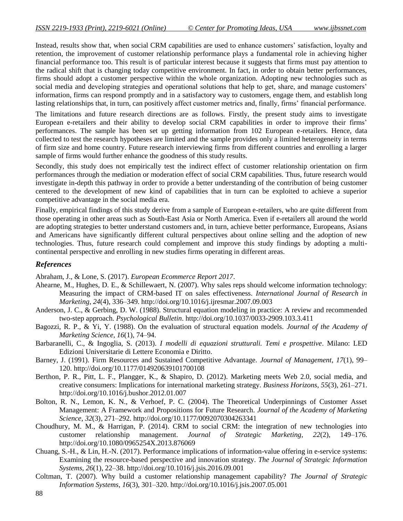Instead, results show that, when social CRM capabilities are used to enhance customers' satisfaction, loyalty and retention, the improvement of customer relationship performance plays a fundamental role in achieving higher financial performance too. This result is of particular interest because it suggests that firms must pay attention to the radical shift that is changing today competitive environment. In fact, in order to obtain better performances, firms should adopt a customer perspective within the whole organization. Adopting new technologies such as social media and developing strategies and operational solutions that help to get, share, and manage customers' information, firms can respond promptly and in a satisfactory way to customers, engage them, and establish long lasting relationships that, in turn, can positively affect customer metrics and, finally, firms' financial performance.

The limitations and future research directions are as follows. Firstly, the present study aims to investigate European e-retailers and their ability to develop social CRM capabilities in order to improve their firms' performances. The sample has been set up getting information from 102 European e-retailers. Hence, data collected to test the research hypotheses are limited and the sample provides only a limited heterogeneity in terms of firm size and home country. Future research interviewing firms from different countries and enrolling a larger sample of firms would further enhance the goodness of this study results.

Secondly, this study does not empirically test the indirect effect of customer relationship orientation on firm performances through the mediation or moderation effect of social CRM capabilities. Thus, future research would investigate in-depth this pathway in order to provide a better understanding of the contribution of being customer centered to the development of new kind of capabilities that in turn can be exploited to achieve a superior competitive advantage in the social media era.

Finally, empirical findings of this study derive from a sample of European e-retailers, who are quite different from those operating in other areas such as South-East Asia or North America. Even if e-retailers all around the world are adopting strategies to better understand customers and, in turn, achieve better performance, Europeans, Asians and Americans have significantly different cultural perspectives about online selling and the adoption of new technologies. Thus, future research could complement and improve this study findings by adopting a multicontinental perspective and enrolling in new studies firms operating in different areas.

#### *References*

Abraham, J., & Lone, S. (2017). *European Ecommerce Report 2017*.

- Ahearne, M., Hughes, D. E., & Schillewaert, N. (2007). Why sales reps should welcome information technology: Measuring the impact of CRM-based IT on sales effectiveness. *International Journal of Research in Marketing*, *24*(4), 336–349. http://doi.org/10.1016/j.ijresmar.2007.09.003
- Anderson, J. C., & Gerbing, D. W. (1988). Structural equation modeling in practice: A review and recommended two-step approach. *Psychological Bulletin*. http://doi.org/10.1037/0033-2909.103.3.411
- Bagozzi, R. P., & Yi, Y. (1988). On the evaluation of structural equation models. *Journal of the Academy of Marketing Science*, *16*(1), 74–94.
- Barbaranelli, C., & Ingoglia, S. (2013). *I modelli di equazioni strutturali. Temi e prospettive*. Milano: LED Edizioni Universitarie di Lettere Economia e Diritto.
- Barney, J. (1991). Firm Resources and Sustained Competitive Advantage. *Journal of Management*, *17*(1), 99– 120. http://doi.org/10.1177/014920639101700108
- Berthon, P. R., Pitt, L. F., Plangger, K., & Shapiro, D. (2012). Marketing meets Web 2.0, social media, and creative consumers: Implications for international marketing strategy. *Business Horizons*, *55*(3), 261–271. http://doi.org/10.1016/j.bushor.2012.01.007
- Bolton, R. N., Lemon, K. N., & Verhoef, P. C. (2004). The Theoretical Underpinnings of Customer Asset Management: A Framework and Propositions for Future Research. *Journal of the Academy of Marketing Science*, *32*(3), 271–292. http://doi.org/10.1177/0092070304263341
- Choudhury, M. M., & Harrigan, P. (2014). CRM to social CRM: the integration of new technologies into customer relationship management. *Journal of Strategic Marketing*, *22*(2), 149–176. http://doi.org/10.1080/0965254X.2013.876069
- Chuang, S.-H., & Lin, H.-N. (2017). Performance implications of information-value offering in e-service systems: Examining the resource-based perspective and innovation strategy. *The Journal of Strategic Information Systems*, *26*(1), 22–38. http://doi.org/10.1016/j.jsis.2016.09.001
- Coltman, T. (2007). Why build a customer relationship management capability? *The Journal of Strategic Information Systems*, *16*(3), 301–320. http://doi.org/10.1016/j.jsis.2007.05.001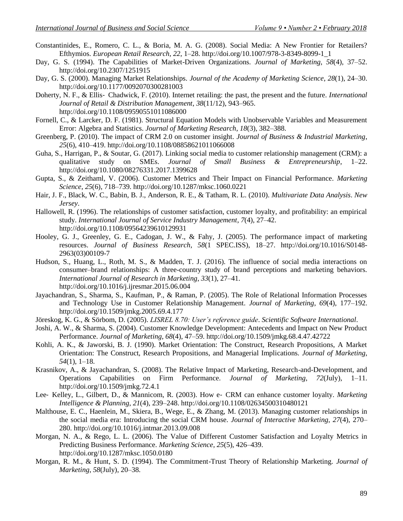- Constantinides, E., Romero, C. L., & Boria, M. A. G. (2008). Social Media: A New Frontier for Retailers? Efthymios. *European Retail Research*, *22*, 1–28. http://doi.org/10.1007/978-3-8349-8099-1\_1
- Day, G. S. (1994). The Capabilities of Market-Driven Organizations. *Journal of Marketing*, *58*(4), 37–52. http://doi.org/10.2307/1251915
- Day, G. S. (2000). Managing Market Relationships. *Journal of the Academy of Marketing Science*, *28*(1), 24–30. http://doi.org/10.1177/0092070300281003
- Doherty, N. F., & Ellis‐ Chadwick, F. (2010). Internet retailing: the past, the present and the future. *International Journal of Retail & Distribution Management*, *38*(11/12), 943–965. http://doi.org/10.1108/09590551011086000
- Fornell, C., & Larcker, D. F. (1981). Structural Equation Models with Unobservable Variables and Measurement Error: Algebra and Statistics. *Journal of Marketing Research*, *18*(3), 382–388.
- Greenberg, P. (2010). The impact of CRM 2.0 on customer insight. *Journal of Business & Industrial Marketing*, *25*(6), 410–419. http://doi.org/10.1108/08858621011066008
- Guha, S., Harrigan, P., & Soutar, G. (2017). Linking social media to customer relationship management (CRM): a qualitative study on SMEs. *Journal of Small Business & Entrepreneurship*, 1–22. http://doi.org/10.1080/08276331.2017.1399628
- Gupta, S., & Zeithaml, V. (2006). Customer Metrics and Their Impact on Financial Performance. *Marketing Science*, *25*(6), 718–739. http://doi.org/10.1287/mksc.1060.0221
- Hair, J. F., Black, W. C., Babin, B. J., Anderson, R. E., & Tatham, R. L. (2010). *Multivariate Data Analysis*. *New Jersey*.
- Hallowell, R. (1996). The relationships of customer satisfaction, customer loyalty, and profitability: an empirical study. *International Journal of Service Industry Management*, *7*(4), 27–42. http://doi.org/10.1108/09564239610129931
- Hooley, G. J., Greenley, G. E., Cadogan, J. W., & Fahy, J. (2005). The performance impact of marketing resources. *Journal of Business Research*, *58*(1 SPEC.ISS), 18–27. http://doi.org/10.1016/S0148- 2963(03)00109-7
- Hudson, S., Huang, L., Roth, M. S., & Madden, T. J. (2016). The influence of social media interactions on consumer–brand relationships: A three-country study of brand perceptions and marketing behaviors. *International Journal of Research in Marketing*, *33*(1), 27–41. http://doi.org/10.1016/j.ijresmar.2015.06.004
- Jayachandran, S., Sharma, S., Kaufman, P., & Raman, P. (2005). The Role of Relational Information Processes and Technology Use in Customer Relationship Management. *Journal of Marketing*, *69*(4), 177–192. http://doi.org/10.1509/jmkg.2005.69.4.177
- Jöreskog, K. G., & Sörbom, D. (2005). *LISREL 8.70: User's reference guide*. *Scientific Software International*.
- Joshi, A. W., & Sharma, S. (2004). Customer Knowledge Development: Antecedents and Impact on New Product Performance. *Journal of Marketing*, *68*(4), 47–59. http://doi.org/10.1509/jmkg.68.4.47.42722
- Kohli, A. K., & Jaworski, B. J. (1990). Market Orientation: The Construct, Research Propositions, A Market Orientation: The Construct, Research Propositions, and Managerial Implications. *Journal of Marketing*, *54*(1), 1–18.
- Krasnikov, A., & Jayachandran, S. (2008). The Relative Impact of Marketing, Research-and-Development, and Operations Capabilities on Firm Performance. *Journal of Marketing*, *72*(July), 1–11. http://doi.org/10.1509/jmkg.72.4.1
- Lee‐ Kelley, L., Gilbert, D., & Mannicom, R. (2003). How e‐ CRM can enhance customer loyalty. *Marketing Intelligence & Planning*, *21*(4), 239–248. http://doi.org/10.1108/02634500310480121
- Malthouse, E. C., Haenlein, M., Skiera, B., Wege, E., & Zhang, M. (2013). Managing customer relationships in the social media era: Introducing the social CRM house. *Journal of Interactive Marketing*, *27*(4), 270– 280. http://doi.org/10.1016/j.intmar.2013.09.008
- Morgan, N. A., & Rego, L. L. (2006). The Value of Different Customer Satisfaction and Loyalty Metrics in Predicting Business Performance. *Marketing Science*, *25*(5), 426–439. http://doi.org/10.1287/mksc.1050.0180
- Morgan, R. M., & Hunt, S. D. (1994). The Commitment-Trust Theory of Relationship Marketing. *Journal of Marketing*, *58*(July), 20–38.